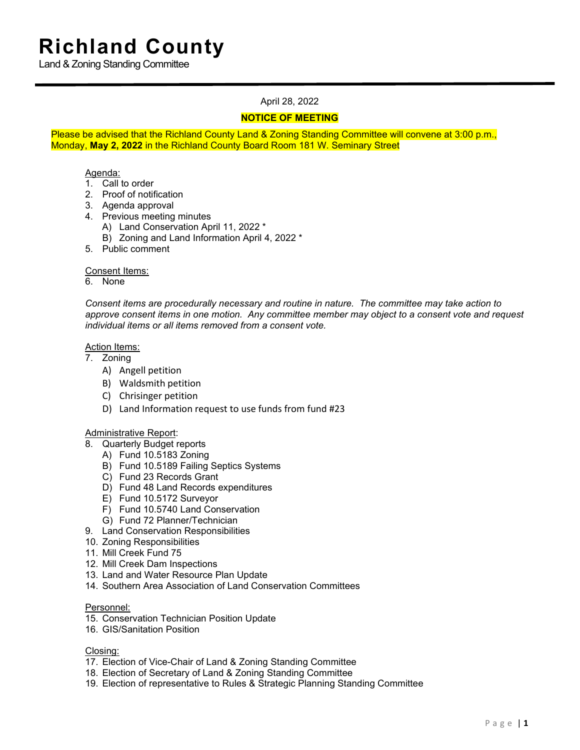Land & Zoning Standing Committee

# April 28, 2022

# **NOTICE OF MEETING**

Please be advised that the Richland County Land & Zoning Standing Committee will convene at 3:00 p.m., Monday, **May 2, 2022** in the Richland County Board Room 181 W. Seminary Street

## Agenda:

- 1. Call to order
- 2. Proof of notification
- 3. Agenda approval
- 4. Previous meeting minutes
	- A) Land Conservation April 11, 2022 \*
	- B) Zoning and Land Information April 4, 2022 \*
- 5. Public comment

### Consent Items:

6. None

*Consent items are procedurally necessary and routine in nature. The committee may take action to approve consent items in one motion. Any committee member may object to a consent vote and request individual items or all items removed from a consent vote.*

#### Action Items:

7. Zoning

- A) Angell petition
- B) Waldsmith petition
- C) Chrisinger petition
- D) Land Information request to use funds from fund #23

## Administrative Report:

- 8. Quarterly Budget reports
	- A) Fund 10.5183 Zoning
	- B) Fund 10.5189 Failing Septics Systems
	- C) Fund 23 Records Grant
	- D) Fund 48 Land Records expenditures
	- E) Fund 10.5172 Surveyor
	- F) Fund 10.5740 Land Conservation
	- G) Fund 72 Planner/Technician
- 9. Land Conservation Responsibilities
- 10. Zoning Responsibilities
- 11. Mill Creek Fund 75
- 12. Mill Creek Dam Inspections
- 13. Land and Water Resource Plan Update
- 14. Southern Area Association of Land Conservation Committees

#### Personnel:

- 15. Conservation Technician Position Update
- 16. GIS/Sanitation Position

#### Closing:

- 17. Election of Vice-Chair of Land & Zoning Standing Committee
- 18. Election of Secretary of Land & Zoning Standing Committee
- 19. Election of representative to Rules & Strategic Planning Standing Committee